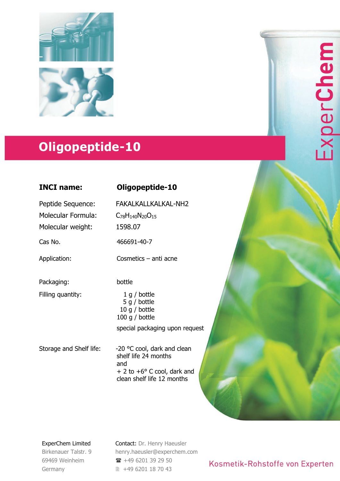

# **Oligopeptide-10**

## **INCI name: Oligopeptide-10**

Peptide Sequence: Molecular Formula: Molecular weight:

Packaging:

Filling quantity:

C78H140N20O<sup>15</sup> 1598.07

FAKALKALLKALKAL-NH2

Cas No. 466691-40-7

Application: Cosmetics – anti acne

bottle

1 g / bottle 5 g / bottle 10 g / bottle 100 g / bottle special packaging upon request

Storage and Shelf life: -20 °C cool, dark and clean shelf life 24 months and + 2 to +6° C cool, dark and clean shelf life 12 months

ExperChem Limited

Birkenauer Talstr. 9 69469 Weinheim Germany

Contact: Dr. Henry Haeusler [henry.haeusler@experchem.com](mailto:henry.haeusler@experchem.com)  $\rightarrow$  +49 6201 39 29 50 +49 6201 18 70 43

# Kosmetik-Rohstoffe von Experten

ExperChem